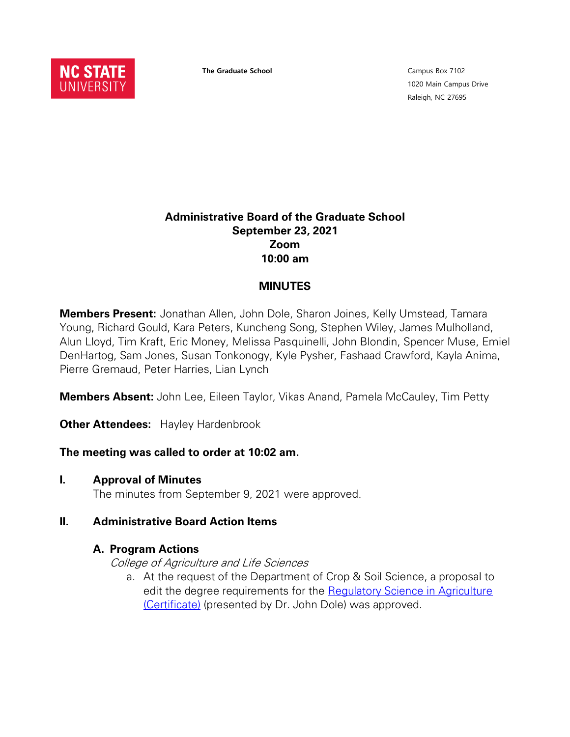

**The Graduate School**

Campus Box 7102 1020 Main Campus Drive Raleigh, NC 27695

### **Administrative Board of the Graduate School September 23, 2021 Zoom 10:00 am**

### **MINUTES**

**Members Present:** Jonathan Allen, John Dole, Sharon Joines, Kelly Umstead, Tamara Young, Richard Gould, Kara Peters, Kuncheng Song, Stephen Wiley, James Mulholland, Alun Lloyd, Tim Kraft, Eric Money, Melissa Pasquinelli, John Blondin, Spencer Muse, Emiel DenHartog, Sam Jones, Susan Tonkonogy, Kyle Pysher, Fashaad Crawford, Kayla Anima, Pierre Gremaud, Peter Harries, Lian Lynch

**Members Absent:** John Lee, Eileen Taylor, Vikas Anand, Pamela McCauley, Tim Petty

**Other Attendees:** Hayley Hardenbrook

#### **The meeting was called to order at 10:02 am.**

**I. Approval of Minutes**

The minutes from September 9, 2021 were approved.

#### **II. Administrative Board Action Items**

#### **A. Program Actions**

College of Agriculture and Life Sciences

a. At the request of the Department of Crop & Soil Science, a proposal to edit the degree requirements for the [Regulatory Science in Agriculture](https://next-catalog.ncsu.edu/programadmin/?key=730)  [\(Certificate\)](https://next-catalog.ncsu.edu/programadmin/?key=730) (presented by Dr. John Dole) was approved.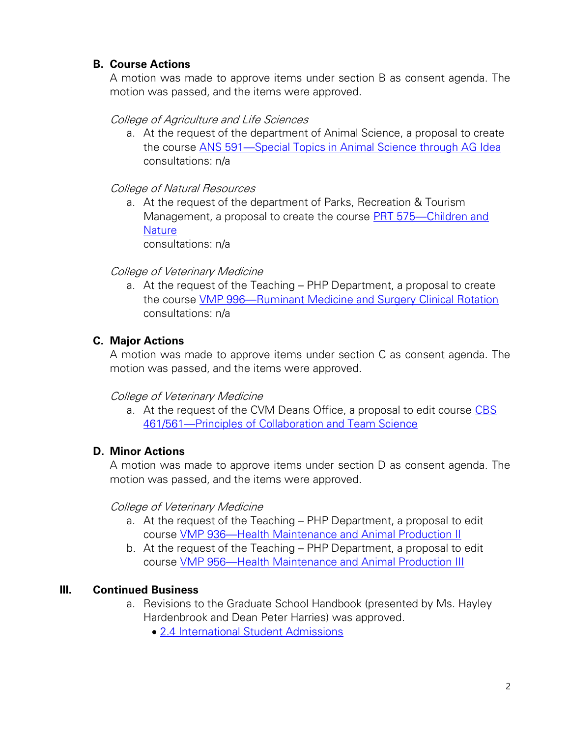### **B. Course Actions**

A motion was made to approve items under section B as consent agenda. The motion was passed, and the items were approved.

### College of Agriculture and Life Sciences

a. At the request of the department of Animal Science, a proposal to create the course ANS 591—Special Topics in Animal Science through AG Idea consultations: n/a

## College of Natural Resources

a. At the request of the department of Parks, Recreation & Tourism Management, a proposal to create the course PRT 575—Children and **Nature** consultations: n/a

# College of Veterinary Medicine

a. At the request of the Teaching – PHP Department, a proposal to create the course VMP 996—Ruminant Medicine and Surgery Clinical Rotation consultations: n/a

## **C. Major Actions**

A motion was made to approve items under section C as consent agenda. The motion was passed, and the items were approved.

### College of Veterinary Medicine

a. At the request of the CVM Deans Office, a proposal to edit course CBS 461/561—Principles of Collaboration and Team Science

## **D. Minor Actions**

A motion was made to approve items under section D as consent agenda. The motion was passed, and the items were approved.

### College of Veterinary Medicine

- a. At the request of the Teaching PHP Department, a proposal to edit course VMP 936—Health Maintenance and Animal Production II
- b. At the request of the Teaching PHP Department, a proposal to edit course VMP 956—Health Maintenance and Animal Production III

## **III. Continued Business**

- a. Revisions to the Graduate School Handbook (presented by Ms. Hayley Hardenbrook and Dean Peter Harries) was approved.
	- 2.4 International Student Admissions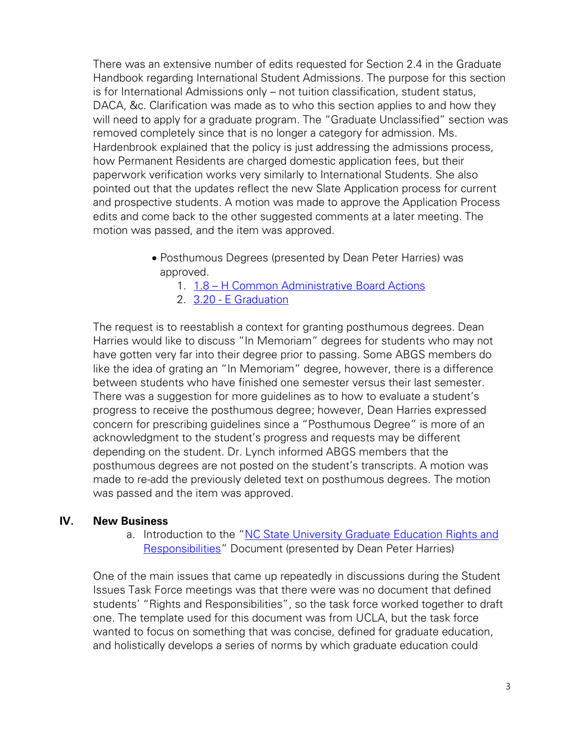There was an extensive number of edits requested for Section 2.4 in the Graduate Handbook regarding International Student Admissions. The purpose for this section is for International Admissions only – not tuition classification, student status, DACA, &c. Clarification was made as to who this section applies to and how they will need to apply for a graduate program. The "Graduate Unclassified" section was removed completely since that is no longer a category for admission. Ms. Hardenbrook explained that the policy is just addressing the admissions process, how Permanent Residents are charged domestic application fees, but their paperwork verification works very similarly to International Students. She also pointed out that the updates reflect the new Slate Application process for current and prospective students. A motion was made to approve the Application Process edits and come back to the other suggested comments at a later meeting. The motion was passed, and the item was approved.

- Posthumous Degrees (presented by Dean Peter Harries) was approved.
	- 1. 1.8 H Common Administrative Board Actions
	- 2. 3.20 E Graduation

The request is to reestablish a context for granting posthumous degrees. Dean Harries would like to discuss "In Memoriam" degrees for students who may not have gotten very far into their degree prior to passing. Some ABGS members do like the idea of grating an "In Memoriam" degree, however, there is a difference between students who have finished one semester versus their last semester. There was a suggestion for more guidelines as to how to evaluate a student's progress to receive the posthumous degree; however, Dean Harries expressed concern for prescribing guidelines since a "Posthumous Degree" is more of an acknowledgment to the student's progress and requests may be different depending on the student. Dr. Lynch informed ABGS members that the posthumous degrees are not posted on the student's transcripts. A motion was made to re-add the previously deleted text on posthumous degrees. The motion was passed and the item was approved.

#### **IV. New Business**

a. Introduction to the "NC State University Graduate Education Rights and Responsibilities" Document (presented by Dean Peter Harries)

One of the main issues that came up repeatedly in discussions during the Student Issues Task Force meetings was that there were was no document that defined students' "Rights and Responsibilities", so the task force worked together to draft one. The template used for this document was from UCLA, but the task force wanted to focus on something that was concise, defined for graduate education, and holistically develops a series of norms by which graduate education could